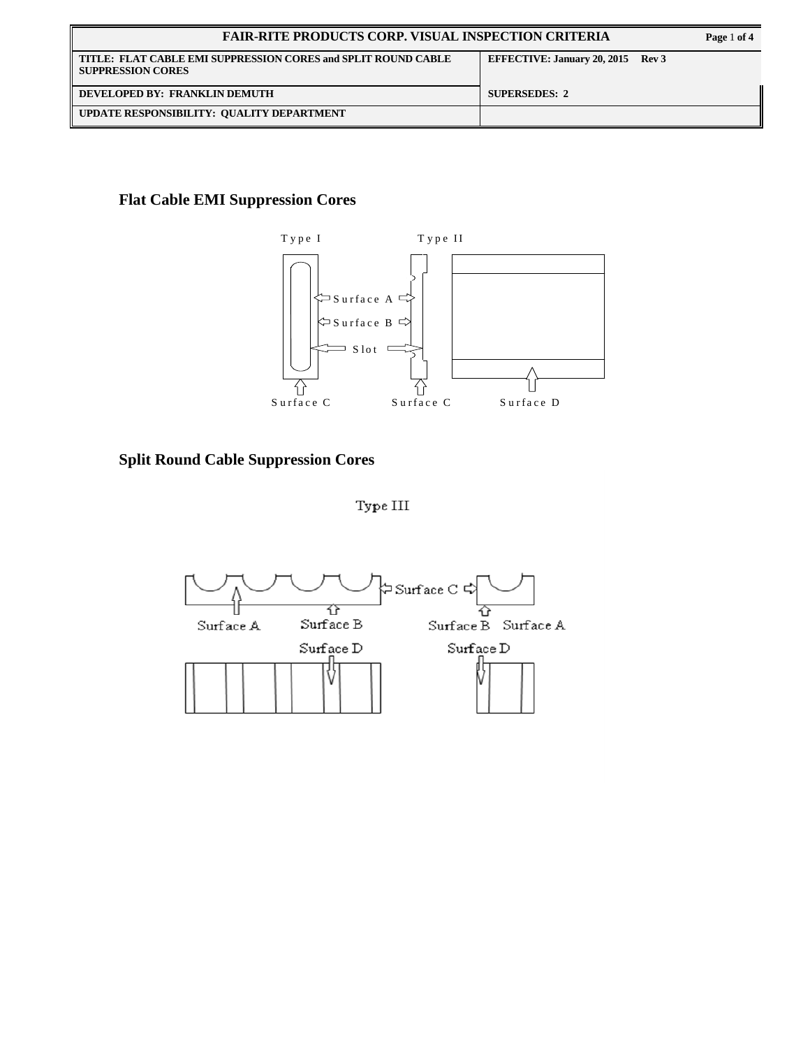| <b>FAIR-RITE PRODUCTS CORP. VISUAL INSPECTION CRITERIA</b>                                |                                   |  |
|-------------------------------------------------------------------------------------------|-----------------------------------|--|
| TITLE: FLAT CABLE EMI SUPPRESSION CORES and SPLIT ROUND CABLE<br><b>SUPPRESSION CORES</b> | EFFECTIVE: January 20, 2015 Rev 3 |  |
| DEVELOPED BY: FRANKLIN DEMUTH                                                             | <b>SUPERSEDES: 2</b>              |  |
| UPDATE RESPONSIBILITY: QUALITY DEPARTMENT                                                 |                                   |  |

## **Flat Cable EMI Suppression Cores**



**Split Round Cable Suppression Cores** 

 ${\rm Type\ III}$ 

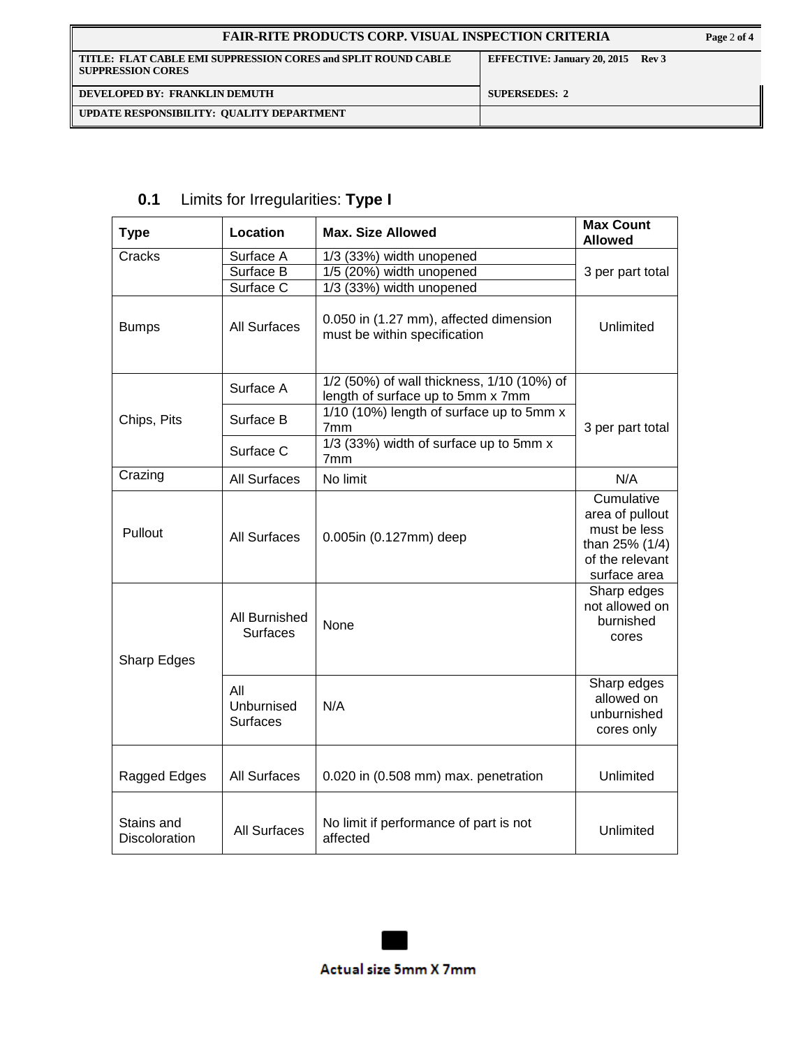| <b>FAIR-RITE PRODUCTS CORP. VISUAL INSPECTION CRITERIA</b>                                |                                   |  |
|-------------------------------------------------------------------------------------------|-----------------------------------|--|
| TITLE: FLAT CABLE EMI SUPPRESSION CORES and SPLIT ROUND CABLE<br><b>SUPPRESSION CORES</b> | EFFECTIVE: January 20, 2015 Rev 3 |  |
| DEVELOPED BY: FRANKLIN DEMUTH                                                             | <b>SUPERSEDES: 2</b>              |  |
| UPDATE RESPONSIBILITY: QUALITY DEPARTMENT                                                 |                                   |  |

| <b>Type</b>                        | Location                             | <b>Max. Size Allowed</b>                                                         | <b>Max Count</b><br><b>Allowed</b>                                                                 |
|------------------------------------|--------------------------------------|----------------------------------------------------------------------------------|----------------------------------------------------------------------------------------------------|
| Cracks                             | Surface A<br>Surface B<br>Surface C  | 1/3 (33%) width unopened<br>1/5 (20%) width unopened<br>1/3 (33%) width unopened | 3 per part total                                                                                   |
| <b>Bumps</b>                       | <b>All Surfaces</b>                  | 0.050 in (1.27 mm), affected dimension<br>must be within specification           | Unlimited                                                                                          |
|                                    | Surface A                            | 1/2 (50%) of wall thickness, 1/10 (10%) of<br>length of surface up to 5mm x 7mm  |                                                                                                    |
| Chips, Pits                        | Surface B                            | 1/10 (10%) length of surface up to 5mm x<br>7mm                                  | 3 per part total                                                                                   |
|                                    | Surface C                            | 1/3 (33%) width of surface up to 5mm x<br>7 <sub>mm</sub>                        |                                                                                                    |
| Crazing                            | <b>All Surfaces</b>                  | No limit                                                                         | N/A                                                                                                |
| Pullout                            | <b>All Surfaces</b>                  | 0.005in (0.127mm) deep                                                           | Cumulative<br>area of pullout<br>must be less<br>than 25% (1/4)<br>of the relevant<br>surface area |
| Sharp Edges                        | All Burnished<br><b>Surfaces</b>     | None                                                                             | Sharp edges<br>not allowed on<br>burnished<br>cores                                                |
|                                    | All<br>Unburnised<br><b>Surfaces</b> | N/A                                                                              | Sharp edges<br>allowed on<br>unburnished<br>cores only                                             |
| Ragged Edges                       | <b>All Surfaces</b>                  | 0.020 in (0.508 mm) max. penetration                                             | Unlimited                                                                                          |
| Stains and<br><b>Discoloration</b> | <b>All Surfaces</b>                  | No limit if performance of part is not<br>affected                               | Unlimited                                                                                          |

## **0.1** Limits for Irregularities: **Type I**

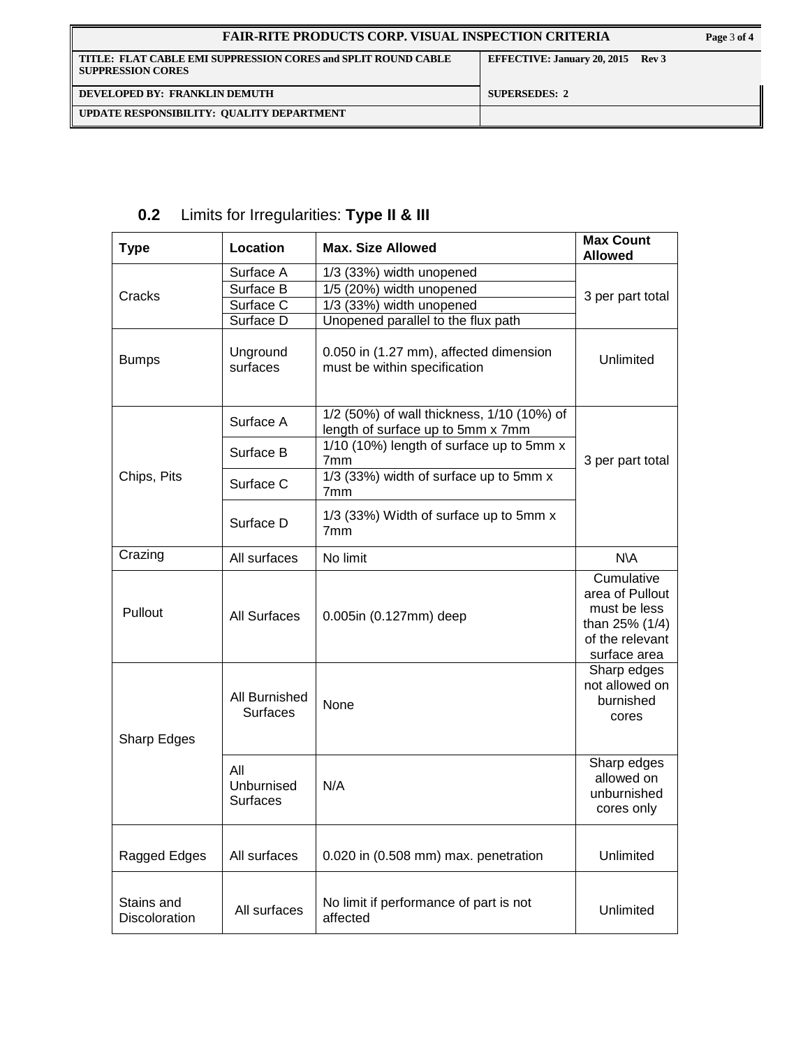| <b>FAIR-RITE PRODUCTS CORP. VISUAL INSPECTION CRITERIA</b>                                |                                   |  |
|-------------------------------------------------------------------------------------------|-----------------------------------|--|
| TITLE: FLAT CABLE EMI SUPPRESSION CORES and SPLIT ROUND CABLE<br><b>SUPPRESSION CORES</b> | EFFECTIVE: January 20, 2015 Rev 3 |  |
| DEVELOPED BY: FRANKLIN DEMUTH                                                             | <b>SUPERSEDES: 2</b>              |  |
| UPDATE RESPONSIBILITY: QUALITY DEPARTMENT                                                 |                                   |  |

| <b>Type</b>                        | Location                                         | <b>Max. Size Allowed</b>                                                                                               | <b>Max Count</b><br><b>Allowed</b>                                                                 |  |
|------------------------------------|--------------------------------------------------|------------------------------------------------------------------------------------------------------------------------|----------------------------------------------------------------------------------------------------|--|
| Cracks                             | Surface A<br>Surface B<br>Surface C<br>Surface D | 1/3 (33%) width unopened<br>1/5 (20%) width unopened<br>1/3 (33%) width unopened<br>Unopened parallel to the flux path | 3 per part total                                                                                   |  |
| <b>Bumps</b>                       | Unground<br>surfaces                             | 0.050 in (1.27 mm), affected dimension<br>must be within specification                                                 | Unlimited                                                                                          |  |
|                                    | Surface A                                        | 1/2 (50%) of wall thickness, 1/10 (10%) of<br>length of surface up to 5mm x 7mm                                        |                                                                                                    |  |
|                                    | Surface B                                        | 1/10 (10%) length of surface up to 5mm x<br>7 <sub>mm</sub>                                                            | 3 per part total                                                                                   |  |
| Chips, Pits                        | Surface C                                        | 1/3 (33%) width of surface up to 5mm x<br>7 <sub>mm</sub>                                                              |                                                                                                    |  |
|                                    | Surface D                                        | 1/3 (33%) Width of surface up to 5mm x<br>7 <sub>mm</sub>                                                              |                                                                                                    |  |
| Crazing                            | All surfaces                                     | No limit                                                                                                               | N\A                                                                                                |  |
| Pullout                            | <b>All Surfaces</b>                              | 0.005in (0.127mm) deep                                                                                                 | Cumulative<br>area of Pullout<br>must be less<br>than 25% (1/4)<br>of the relevant<br>surface area |  |
| Sharp Edges                        | All Burnished<br><b>Surfaces</b>                 | None                                                                                                                   | Sharp edges<br>not allowed on<br>burnished<br>cores                                                |  |
|                                    | All<br>Unburnised<br><b>Surfaces</b>             | N/A                                                                                                                    | Sharp edges<br>allowed on<br>unburnished<br>cores only                                             |  |
| Ragged Edges                       | All surfaces                                     | 0.020 in (0.508 mm) max. penetration                                                                                   | Unlimited                                                                                          |  |
| Stains and<br><b>Discoloration</b> | All surfaces                                     | No limit if performance of part is not<br>affected                                                                     | Unlimited                                                                                          |  |

## **0.2** Limits for Irregularities: **Type II & III**